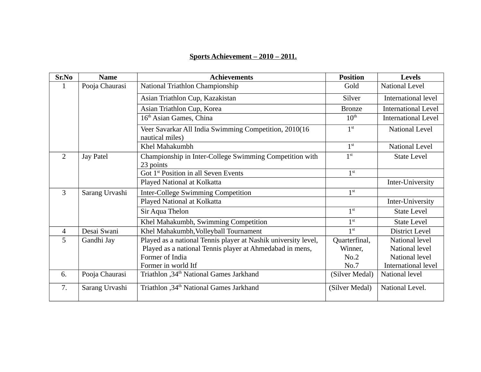# **Sports Achievement – 2010 – 2011.**

| Sr.No          | <b>Name</b>      | <b>Achievements</b>                                                      | <b>Position</b>  | <b>Levels</b>              |
|----------------|------------------|--------------------------------------------------------------------------|------------------|----------------------------|
| 1              | Pooja Chaurasi   | National Triathlon Championship                                          | Gold             | National Level             |
|                |                  | Asian Triathlon Cup, Kazakistan                                          | <b>Silver</b>    | International level        |
|                |                  | Asian Triathlon Cup, Korea                                               | <b>Bronze</b>    | <b>International Level</b> |
|                |                  | 16 <sup>th</sup> Asian Games, China                                      | $10^{\text{th}}$ | <b>International Level</b> |
|                |                  | Veer Savarkar All India Swimming Competition, 2010(16<br>nautical miles) | 1 <sup>st</sup>  | National Level             |
|                |                  | Khel Mahakumbh                                                           | $1^{\rm st}$     | <b>National Level</b>      |
| $\overline{2}$ | <b>Jay Patel</b> | Championship in Inter-College Swimming Competition with<br>23 points     |                  | <b>State Level</b>         |
|                |                  | Got 1 <sup>st</sup> Position in all Seven Events                         | 1 <sup>st</sup>  |                            |
|                |                  | Played National at Kolkatta                                              |                  | Inter-University           |
| 3              | Sarang Urvashi   | <b>Inter-College Swimming Competition</b>                                | 1 <sup>st</sup>  |                            |
|                |                  | Played National at Kolkatta                                              |                  | Inter-University           |
|                |                  | Sir Aqua Thelon                                                          |                  | <b>State Level</b>         |
|                |                  | Khel Mahakumbh, Swimming Competition                                     | 1 <sup>st</sup>  | <b>State Level</b>         |
| $\overline{4}$ | Desai Swani      | Khel Mahakumbh, Volleyball Tournament                                    | 1 <sup>st</sup>  | <b>District Level</b>      |
| 5              | Gandhi Jay       | Played as a national Tennis player at Nashik university level,           |                  | National level             |
|                |                  | Played as a national Tennis player at Ahmedabad in mens,                 | Winner,          | National level             |
|                |                  | Former of India                                                          | No.2             | National level             |
|                |                  | Former in world Itf                                                      | No.7             | International level        |
| 6.             | Pooja Chaurasi   | Triathlon , 34 <sup>th</sup> National Games Jarkhand                     | (Silver Medal)   | National level             |
| 7.             | Sarang Urvashi   | Triathlon, 34 <sup>th</sup> National Games Jarkhand                      | (Silver Medal)   | National Level.            |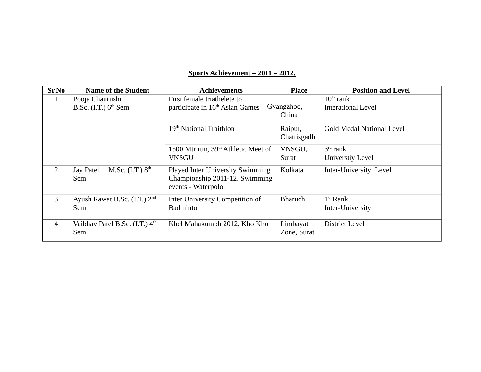# **Sports Achievement – 2011 – 2012.**

| Sr.No          | <b>Name of the Student</b>                            | <b>Achievements</b>                                                                              | <b>Place</b>            | <b>Position and Level</b>                          |
|----------------|-------------------------------------------------------|--------------------------------------------------------------------------------------------------|-------------------------|----------------------------------------------------|
| $\mathbf{1}$   | Pooja Chaurushi<br>B.Sc. $(I.T.)$ 6 <sup>th</sup> Sem | First female triathelete to<br>participate in 16 <sup>th</sup> Asian Games                       | Gvangzhoo,<br>China     | $10^{\text{th}}$ rank<br><b>Interational Level</b> |
|                |                                                       | 19 <sup>th</sup> National Traithlon                                                              | Raipur,<br>Chattisgadh  | <b>Gold Medal National Level</b>                   |
|                |                                                       | 1500 Mtr run, 39 <sup>th</sup> Athletic Meet of<br><b>VNSGU</b>                                  | VNSGU,<br>Surat         | $3rd$ rank<br><b>Universtiy Level</b>              |
| $\overline{2}$ | M.Sc. $(I.T.) 8th$<br><b>Jay Patel</b><br>Sem         | <b>Played Inter University Swimming</b><br>Championship 2011-12. Swimming<br>events - Waterpolo. | Kolkata                 | Inter-University Level                             |
| 3              | Ayush Rawat B.Sc. (I.T.) $2nd$<br>Sem                 | Inter University Competition of<br><b>Badminton</b>                                              | <b>Bharuch</b>          | $1st$ Rank<br>Inter-University                     |
| $\overline{4}$ | Vaibhav Patel B.Sc. $(I.T.)$ 4 <sup>th</sup><br>Sem   | Khel Mahakumbh 2012, Kho Kho                                                                     | Limbayat<br>Zone, Surat | <b>District Level</b>                              |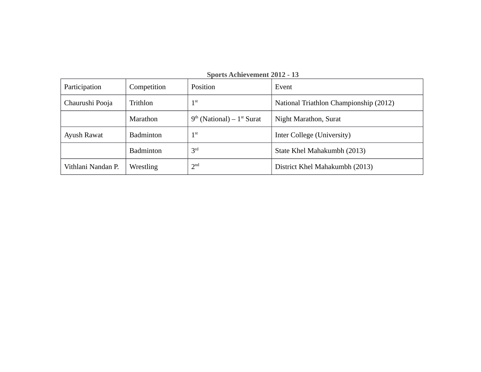| Participation      | Competition      | $\sim$ por to retaint vehicles $\equiv$ 0 1 $\equiv$<br>Position | Event                                  |
|--------------------|------------------|------------------------------------------------------------------|----------------------------------------|
| Chaurushi Pooja    | Trithlon         | 1 <sup>st</sup>                                                  | National Triathlon Championship (2012) |
|                    | Marathon         | $9th$ (National) – $1st$ Surat                                   | Night Marathon, Surat                  |
| Ayush Rawat        | <b>Badminton</b> | 1 <sup>st</sup>                                                  | Inter College (University)             |
|                    | <b>Badminton</b> | 3 <sup>rd</sup>                                                  | State Khel Mahakumbh (2013)            |
| Vithlani Nandan P. | Wrestling        | 2 <sup>nd</sup>                                                  | District Khel Mahakumbh (2013)         |

**Sports Achievement 2012 - 13**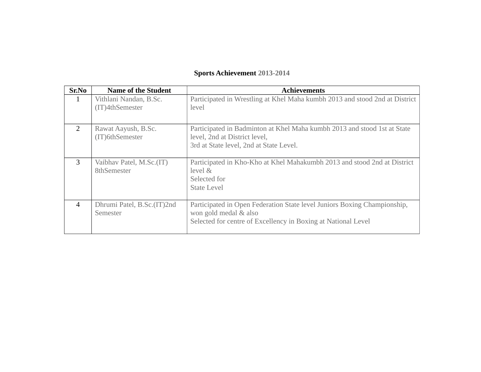# **Sports Achievement 2013-2014**

| Sr.No          | <b>Name of the Student</b>                | Achievements                                                                                                                                                       |
|----------------|-------------------------------------------|--------------------------------------------------------------------------------------------------------------------------------------------------------------------|
| $\mathbf{1}$   | Vithlani Nandan, B.Sc.<br>(IT)4thSemester | Participated in Wrestling at Khel Maha kumbh 2013 and stood 2nd at District<br>level                                                                               |
| $\overline{2}$ | Rawat Aayush, B.Sc.<br>(IT)6thSemester    | Participated in Badminton at Khel Maha kumbh 2013 and stood 1st at State<br>level, 2nd at District level,<br>3rd at State level, 2nd at State Level.               |
| 3              | Vaibhav Patel, M.Sc.(IT)<br>8thSemester   | Participated in Kho-Kho at Khel Mahakumbh 2013 and stood 2nd at District<br>level &<br>Selected for<br><b>State Level</b>                                          |
| $\overline{4}$ | Dhrumi Patel, B.Sc.(IT)2nd<br>Semester    | Participated in Open Federation State level Juniors Boxing Championship,<br>won gold medal & also<br>Selected for centre of Excellency in Boxing at National Level |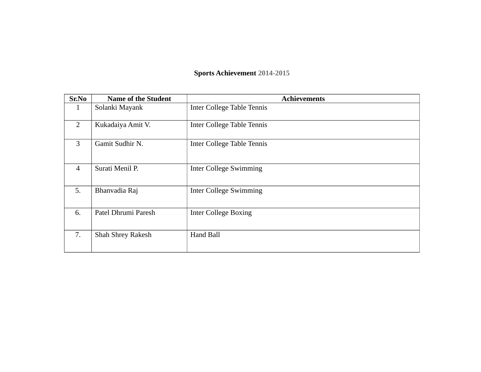# **Sports Achievement 2014-2015**

| Sr.No                               | <b>Name of the Student</b> | <b>Achievements</b>               |
|-------------------------------------|----------------------------|-----------------------------------|
| 1                                   | Solanki Mayank             | <b>Inter College Table Tennis</b> |
| $\overline{2}$<br>Kukadaiya Amit V. |                            | <b>Inter College Table Tennis</b> |
| 3                                   | Gamit Sudhir N.            | <b>Inter College Table Tennis</b> |
| $\overline{4}$                      | Surati Menil P.            | <b>Inter College Swimming</b>     |
| 5.                                  | Bhanvadia Raj              | <b>Inter College Swimming</b>     |
| 6.                                  | Patel Dhrumi Paresh        | <b>Inter College Boxing</b>       |
| 7.                                  | <b>Shah Shrey Rakesh</b>   | Hand Ball                         |